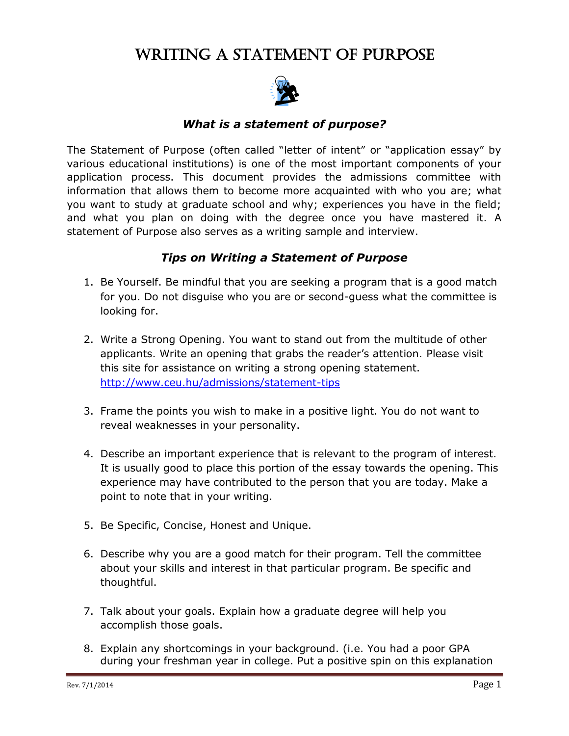# WRITING A STATEMENT OF PURPOSE



## *What is a statement of purpose?*

The Statement of Purpose (often called "letter of intent" or "application essay" by various educational institutions) is one of the most important components of your application process. This document provides the admissions committee with information that allows them to become more acquainted with who you are; what you want to study at graduate school and why; experiences you have in the field; and what you plan on doing with the degree once you have mastered it. A statement of Purpose also serves as a writing sample and interview.

#### *Tips on Writing a Statement of Purpose*

- 1. Be Yourself. Be mindful that you are seeking a program that is a good match for you. Do not disguise who you are or second-guess what the committee is looking for.
- 2. [Write a Strong Opening. You want to stand out from the multitude of other](http://web.ceu.hu/writing/s_of_p.htm)  [applicants. Write an opening that grabs the reader's attention.](http://web.ceu.hu/writing/s_of_p.htm) Please visit [this site for assistance on writing a strong opening statement.](http://web.ceu.hu/writing/s_of_p.htm)  [http://www.ceu.hu/admissions/statement-tips](http://web.ceu.hu/writing/s_of_p.htm)
- 3. Frame the points you wish to make in a positive light. You do not want to reveal weaknesses in your personality.
- 4. Describe an important experience that is relevant to the program of interest. It is usually good to place this portion of the essay towards the opening. This experience may have contributed to the person that you are today. Make a point to note that in your writing.
- 5. Be Specific, Concise, Honest and Unique.
- 6. Describe why you are a good match for their program. Tell the committee about your skills and interest in that particular program. Be specific and thoughtful.
- 7. Talk about your goals. Explain how a graduate degree will help you accomplish those goals.
- 8. Explain any shortcomings in your background. (i.e. You had a poor GPA during your freshman year in college. Put a positive spin on this explanation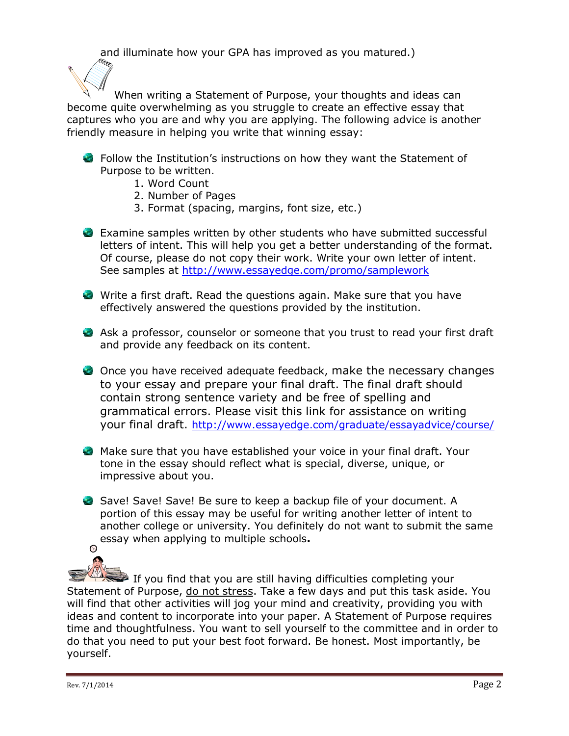and illuminate how your GPA has improved as you matured.)

When writing a Statement of Purpose, your thoughts and ideas can become quite overwhelming as you struggle to create an effective essay that captures who you are and why you are applying. The following advice is another friendly measure in helping you write that winning essay:

- Follow the Institution's instructions on how they want the Statement of Purpose to be written.
	- 1. Word Count
	- 2. Number of Pages
	- 3. Format (spacing, margins, font size, etc.)
- Examine samples written by other students who have submitted successful letters of intent. This will help you get a better understanding of the format. Of course, please do not copy their work. Write your own letter of intent. See samples at<http://www.essayedge.com/promo/samplework>
- Write a first draft. Read the questions again. Make sure that you have effectively answered the questions provided by the institution.
- Ask a professor, counselor or someone that you trust to read your first draft and provide any feedback on its content.
- Once you have received adequate feedback, make the necessary changes to your essay and prepare your final draft. The final draft should contain strong sentence variety and be free of spelling and grammatical errors. Please visit this link for assistance on writing your final draft. <http://www.essayedge.com/graduate/essayadvice/course/>
- Make sure that you have established your voice in your final draft. Your tone in the essay should reflect what is special, diverse, unique, or impressive about you.
- Save! Save! Save! Be sure to keep a backup file of your document. A portion of this essay may be useful for writing another letter of intent to another college or university. You definitely do not want to submit the same essay when applying to multiple schools**.**  $\bullet$

If you find that you are still having difficulties completing your Statement of Purpose, do not stress. Take a few days and put this task aside. You will find that other activities will jog your mind and creativity, providing you with ideas and content to incorporate into your paper. A Statement of Purpose requires time and thoughtfulness. You want to sell yourself to the committee and in order to do that you need to put your best foot forward. Be honest. Most importantly, be yourself.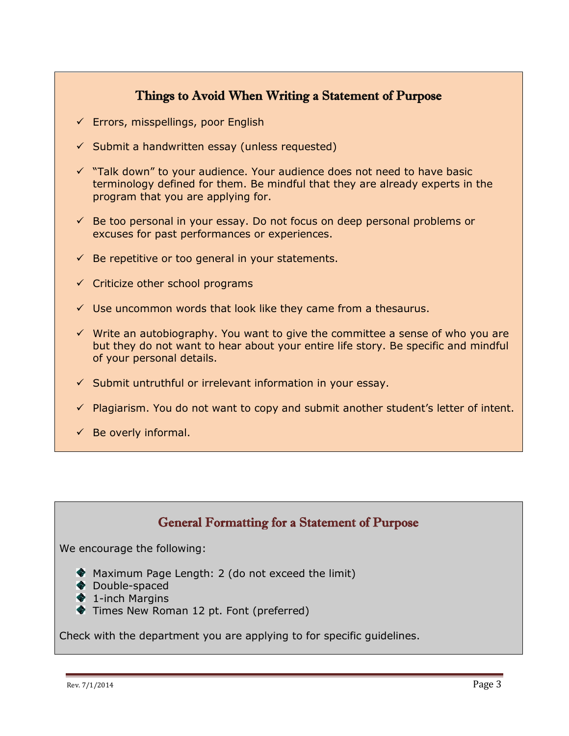## Things to Avoid When Writing a Statement of Purpose

- $\checkmark$  Errors, misspellings, poor English
- $\checkmark$  Submit a handwritten essay (unless requested)
- $\checkmark$  "Talk down" to your audience. Your audience does not need to have basic terminology defined for them. Be mindful that they are already experts in the program that you are applying for.
- $\checkmark$  Be too personal in your essay. Do not focus on deep personal problems or excuses for past performances or experiences.
- $\checkmark$  Be repetitive or too general in your statements.
- $\checkmark$  Criticize other school programs
- $\checkmark$  Use uncommon words that look like they came from a thesaurus.
- $\checkmark$  Write an autobiography. You want to give the committee a sense of who you are but they do not want to hear about your entire life story. Be specific and mindful of your personal details.
- $\checkmark$  Submit untruthful or irrelevant information in your essay.
- $\checkmark$  Plagiarism. You do not want to copy and submit another student's letter of intent.
- $\checkmark$  Be overly informal.

## General Formatting for a Statement of Purpose

We encourage the following:

- Maximum Page Length: 2 (do not exceed the limit)
- ◆ Double-spaced
- **♦ 1-inch Margins**
- Times New Roman 12 pt. Font (preferred)

Check with the department you are applying to for specific guidelines.